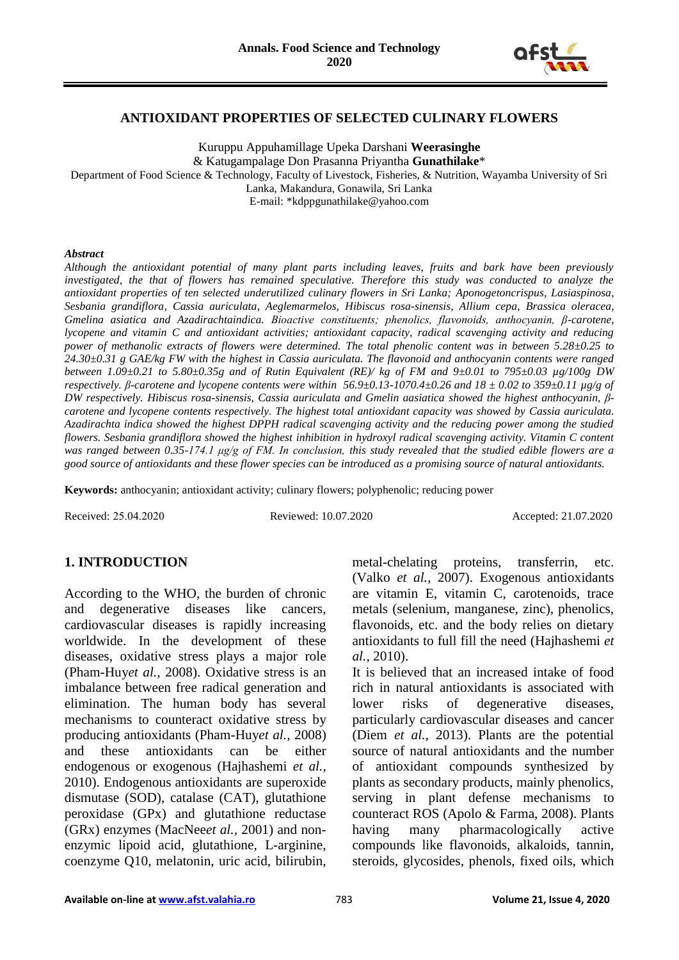

#### **ANTIOXIDANT PROPERTIES OF SELECTED CULINARY FLOWERS**

Kuruppu Appuhamillage Upeka Darshani **Weerasinghe** & Katugampalage Don Prasanna Priyantha **Gunathilake**\* Department of Food Science & Technology, Faculty of Livestock, Fisheries, & Nutrition, Wayamba University of Sri Lanka, Makandura, Gonawila, Sri Lanka E-mail: \*kdppgunathilake@yahoo.com

#### *Abstract*

*Although the antioxidant potential of many plant parts including leaves, fruits and bark have been previously*  investigated, the that of flowers has remained speculative. Therefore this study was conducted to analyze the *antioxidant properties of ten selected underutilized culinary flowers in Sri Lanka; Aponogetoncrispus, Lasiaspinosa, Sesbania grandiflora, Cassia auriculata, Aeglemarmelos, Hibiscus rosa-sinensis, Allium cepa, Brassica oleracea, Gmelina asiatica and Azadirachtaindica. Bioactive constituents; phenolics, flavonoids, anthocyanin, β-carotene, lycopene and vitamin C and antioxidant activities; antioxidant capacity, radical scavenging activity and reducing power of methanolic extracts of flowers were determined. The total phenolic content was in between 5.28±0.25 to 24.30±0.31 g GAE/kg FW with the highest in Cassia auriculata. The flavonoid and anthocyanin contents were ranged between 1.09±0.21 to 5.80±0.35g and of Rutin Equivalent (RE)/ kg of FM and 9±0.01 to 795±0.03 µg/100g DW respectively. β-carotene and lycopene contents were within 56.9±0.13-1070.4±0.26 and 18 ± 0.02 to 359±0.11 µg/g of DW respectively. Hibiscus rosa-sinensis, Cassia auriculata and Gmelin aasiatica showed the highest anthocyanin, βcarotene and lycopene contents respectively. The highest total antioxidant capacity was showed by Cassia auriculata. Azadirachta indica showed the highest DPPH radical scavenging activity and the reducing power among the studied flowers. Sesbania grandiflora showed the highest inhibition in hydroxyl radical scavenging activity. Vitamin C content was ranged between 0.35-174.1 μg/g of FM. In conclusion, this study revealed that the studied edible flowers are a good source of antioxidants and these flower species can be introduced as a promising source of natural antioxidants.*

**Keywords:** anthocyanin; antioxidant activity; culinary flowers; polyphenolic; reducing power

Received: 25.04.2020 Reviewed: 10.07.2020 Accepted: 21.07.2020

## **1. INTRODUCTION**

According to the WHO, the burden of chronic and degenerative diseases like cancers, cardiovascular diseases is rapidly increasing worldwide. In the development of these diseases, oxidative stress plays a major role (Pham-Huy*et al.,* 2008). Oxidative stress is an imbalance between free radical generation and elimination. The human body has several mechanisms to counteract oxidative stress by producing antioxidants (Pham-Huy*et al.,* 2008) and these antioxidants can be either endogenous or exogenous (Hajhashemi *et al.,*  2010). Endogenous antioxidants are superoxide dismutase (SOD), catalase (CAT), glutathione peroxidase (GPx) and glutathione reductase (GRx) enzymes (MacNee*et al.,* 2001) and nonenzymic lipoid acid, glutathione, L-arginine, coenzyme Q10, melatonin, uric acid, bilirubin,

metal-chelating proteins, transferrin, etc. (Valko *et al.,* 2007). Exogenous antioxidants are vitamin E, vitamin C, carotenoids, trace metals (selenium, manganese, zinc), phenolics, flavonoids, etc. and the body relies on dietary antioxidants to full fill the need (Hajhashemi *et al.,* 2010).

It is believed that an increased intake of food rich in natural antioxidants is associated with lower risks of degenerative diseases, particularly cardiovascular diseases and cancer (Diem *et al.,* 2013). Plants are the potential source of natural antioxidants and the number of antioxidant compounds synthesized by plants as secondary products, mainly phenolics, serving in plant defense mechanisms to counteract ROS (Apolo & Farma, 2008). Plants having many pharmacologically active compounds like flavonoids, alkaloids, tannin, steroids, glycosides, phenols, fixed oils, which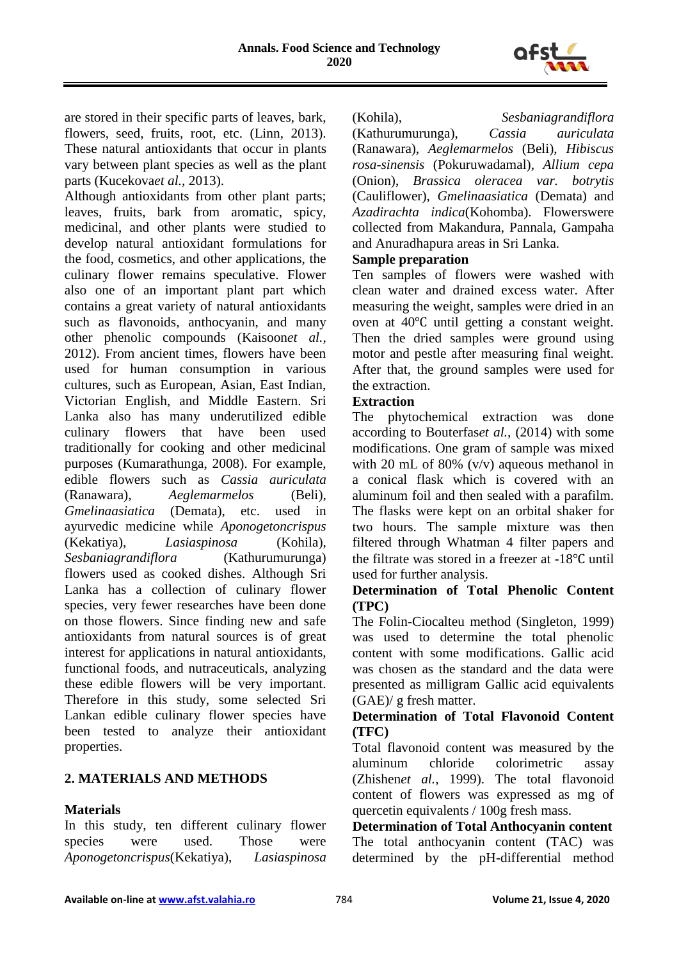

are stored in their specific parts of leaves, bark, flowers, seed, fruits, root, etc. (Linn, 2013). These natural antioxidants that occur in plants vary between plant species as well as the plant parts (Kucekova*et al.,* 2013).

Although antioxidants from other plant parts; leaves, fruits, bark from aromatic, spicy, medicinal, and other plants were studied to develop natural antioxidant formulations for the food, cosmetics, and other applications, the culinary flower remains speculative. Flower also one of an important plant part which contains a great variety of natural antioxidants such as flavonoids, anthocyanin, and many other phenolic compounds (Kaisoon*et al.,* 2012). From ancient times, flowers have been used for human consumption in various cultures, such as European, Asian, East Indian, Victorian English, and Middle Eastern. Sri Lanka also has many underutilized edible culinary flowers that have been used traditionally for cooking and other medicinal purposes (Kumarathunga, 2008). For example, edible flowers such as *Cassia auriculata* (Ranawara), *Aeglemarmelos* (Beli), *Gmelinaasiatica* (Demata), etc. used in ayurvedic medicine while *Aponogetoncrispus* (Kekatiya), *Lasiaspinosa* (Kohila), *Sesbaniagrandiflora* (Kathurumurunga) flowers used as cooked dishes. Although Sri Lanka has a collection of culinary flower species, very fewer researches have been done on those flowers. Since finding new and safe antioxidants from natural sources is of great interest for applications in natural antioxidants, functional foods, and nutraceuticals, analyzing these edible flowers will be very important. Therefore in this study, some selected Sri Lankan edible culinary flower species have been tested to analyze their antioxidant properties.

## **2. MATERIALS AND METHODS**

### **Materials**

In this study, ten different culinary flower species were used. Those were *Aponogetoncrispus*(Kekatiya), *Lasiaspinosa* (Kohila), *Sesbaniagrandiflora*

(Kathurumurunga), *Cassia auriculata* (Ranawara), *Aeglemarmelos* (Beli), *Hibiscus rosa-sinensis* (Pokuruwadamal), *Allium cepa* (Onion), *Brassica oleracea var. botrytis*  (Cauliflower), *Gmelinaasiatica* (Demata) and *Azadirachta indica*(Kohomba). Flowerswere collected from Makandura, Pannala, Gampaha and Anuradhapura areas in Sri Lanka.

## **Sample preparation**

Ten samples of flowers were washed with clean water and drained excess water. After measuring the weight, samples were dried in an oven at 40℃ until getting a constant weight. Then the dried samples were ground using motor and pestle after measuring final weight. After that, the ground samples were used for the extraction.

### **Extraction**

The phytochemical extraction was done according to Bouterfas*et al.,* (2014) with some modifications. One gram of sample was mixed with 20 mL of 80%  $(v/v)$  aqueous methanol in a conical flask which is covered with an aluminum foil and then sealed with a parafilm. The flasks were kept on an orbital shaker for two hours. The sample mixture was then filtered through Whatman 4 filter papers and the filtrate was stored in a freezer at -18℃ until used for further analysis.

### **Determination of Total Phenolic Content (TPC)**

The Folin-Ciocalteu method (Singleton, 1999) was used to determine the total phenolic content with some modifications. Gallic acid was chosen as the standard and the data were presented as milligram Gallic acid equivalents (GAE)/ g fresh matter.

## **Determination of Total Flavonoid Content (TFC)**

Total flavonoid content was measured by the aluminum chloride colorimetric assay (Zhishen*et al.,* 1999). The total flavonoid content of flowers was expressed as mg of quercetin equivalents / 100g fresh mass.

**Determination of Total Anthocyanin content** The total anthocyanin content (TAC) was determined by the pH-differential method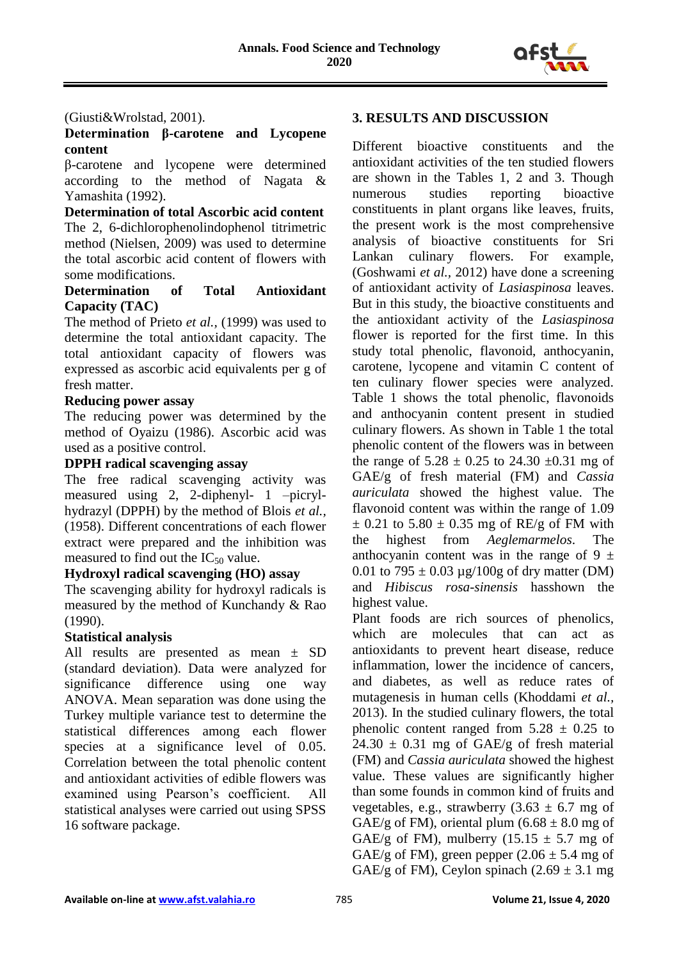

#### (Giusti&Wrolstad, 2001).

### **Determination β-carotene and Lycopene content**

β-carotene and lycopene were determined according to the method of Nagata & Yamashita (1992).

**Determination of total Ascorbic acid content** The 2, 6-dichlorophenolindophenol titrimetric method (Nielsen, 2009) was used to determine the total ascorbic acid content of flowers with some modifications.

### **Determination of Total Antioxidant Capacity (TAC)**

The method of Prieto *et al.,* (1999) was used to determine the total antioxidant capacity. The total antioxidant capacity of flowers was expressed as ascorbic acid equivalents per g of fresh matter.

#### **Reducing power assay**

The reducing power was determined by the method of Oyaizu (1986). Ascorbic acid was used as a positive control.

# **DPPH radical scavenging assay**

The free radical scavenging activity was measured using 2, 2-diphenyl- 1 –picrylhydrazyl (DPPH) by the method of Blois *et al.,* (1958). Different concentrations of each flower extract were prepared and the inhibition was measured to find out the  $IC_{50}$  value.

### **Hydroxyl radical scavenging (HO) assay**

The scavenging ability for hydroxyl radicals is measured by the method of Kunchandy & Rao (1990).

### **Statistical analysis**

All results are presented as mean ± SD (standard deviation). Data were analyzed for significance difference using one way ANOVA. Mean separation was done using the Turkey multiple variance test to determine the statistical differences among each flower species at a significance level of 0.05. Correlation between the total phenolic content and antioxidant activities of edible flowers was examined using Pearson's coefficient. All statistical analyses were carried out using SPSS 16 software package.

### **3. RESULTS AND DISCUSSION**

Different bioactive constituents and the antioxidant activities of the ten studied flowers are shown in the Tables 1, 2 and 3. Though numerous studies reporting bioactive constituents in plant organs like leaves, fruits, the present work is the most comprehensive analysis of bioactive constituents for Sri Lankan culinary flowers. For example, (Goshwami *et al.,* 2012) have done a screening of antioxidant activity of *Lasiaspinosa* leaves. But in this study, the bioactive constituents and the antioxidant activity of the *Lasiaspinosa* flower is reported for the first time. In this study total phenolic, flavonoid, anthocyanin, carotene, lycopene and vitamin C content of ten culinary flower species were analyzed. Table 1 shows the total phenolic, flavonoids and anthocyanin content present in studied culinary flowers. As shown in Table 1 the total phenolic content of the flowers was in between the range of  $5.28 \pm 0.25$  to  $24.30 \pm 0.31$  mg of GAE/g of fresh material (FM) and *Cassia auriculata* showed the highest value. The flavonoid content was within the range of 1.09  $\pm$  0.21 to 5.80  $\pm$  0.35 mg of RE/g of FM with the highest from *Aeglemarmelos*. The anthocyanin content was in the range of 9  $\pm$ 0.01 to 795  $\pm$  0.03 µg/100g of dry matter (DM) and *Hibiscus rosa-sinensis* hasshown the highest value.

Plant foods are rich sources of phenolics, which are molecules that can act as antioxidants to prevent heart disease, reduce inflammation, lower the incidence of cancers, and diabetes, as well as reduce rates of mutagenesis in human cells (Khoddami *et al.,* 2013). In the studied culinary flowers, the total phenolic content ranged from  $5.28 \pm 0.25$  to  $24.30 \pm 0.31$  mg of GAE/g of fresh material (FM) and *Cassia auriculata* showed the highest value. These values are significantly higher than some founds in common kind of fruits and vegetables, e.g., strawberry  $(3.63 \pm 6.7 \text{ mg of})$ GAE/g of FM), oriental plum  $(6.68 \pm 8.0 \text{ mg of})$ GAE/g of FM), mulberry  $(15.15 \pm 5.7 \text{ mg of})$ GAE/g of FM), green pepper  $(2.06 \pm 5.4 \text{ mg of})$ GAE/g of FM), Ceylon spinach  $(2.69 \pm 3.1 \text{ mg})$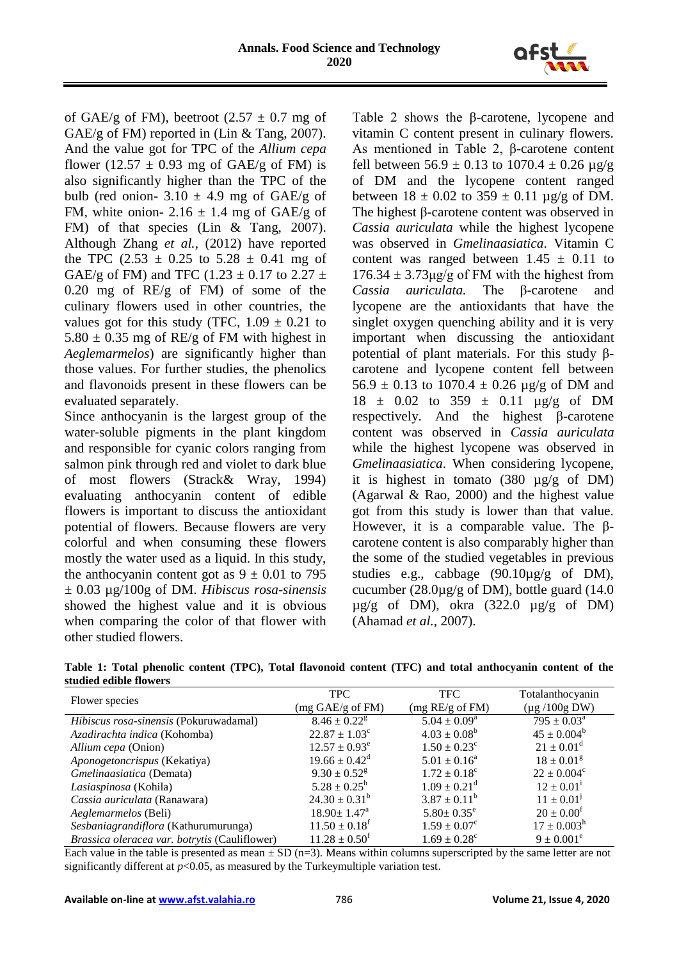

of GAE/g of FM), beetroot  $(2.57 \pm 0.7 \text{ mg of})$ GAE/g of FM) reported in (Lin & Tang, 2007). And the value got for TPC of the *Allium cepa* flower (12.57  $\pm$  0.93 mg of GAE/g of FM) is also significantly higher than the TPC of the bulb (red onion-  $3.10 \pm 4.9$  mg of GAE/g of FM, white onion- 2.16  $\pm$  1.4 mg of GAE/g of FM) of that species (Lin & Tang, 2007). Although Zhang *et al.,* (2012) have reported the TPC  $(2.53 \pm 0.25 \text{ to } 5.28 \pm 0.41 \text{ mg of})$ GAE/g of FM) and TFC (1.23  $\pm$  0.17 to 2.27  $\pm$ 0.20 mg of RE/g of FM) of some of the culinary flowers used in other countries, the values got for this study (TFC,  $1.09 \pm 0.21$  to  $5.80 \pm 0.35$  mg of RE/g of FM with highest in *Aeglemarmelos*) are significantly higher than those values. For further studies, the phenolics and flavonoids present in these flowers can be evaluated separately.

Since anthocyanin is the largest group of the water-soluble pigments in the plant kingdom and responsible for cyanic colors ranging from salmon pink through red and violet to dark blue of most flowers (Strack& Wray, 1994) evaluating anthocyanin content of edible flowers is important to discuss the antioxidant potential of flowers. Because flowers are very colorful and when consuming these flowers mostly the water used as a liquid. In this study, the anthocyanin content got as  $9 \pm 0.01$  to 795 ± 0.03 µg/100g of DM. *Hibiscus rosa-sinensis* showed the highest value and it is obvious when comparing the color of that flower with other studied flowers.

Table 2 shows the β-carotene, lycopene and vitamin C content present in culinary flowers. As mentioned in Table 2, β-carotene content fell between  $56.9 \pm 0.13$  to  $1070.4 \pm 0.26$   $\mu$ g/g of DM and the lycopene content ranged between  $18 \pm 0.02$  to  $359 \pm 0.11$  µg/g of DM. The highest β-carotene content was observed in *Cassia auriculata* while the highest lycopene was observed in *Gmelinaasiatica*. Vitamin C content was ranged between  $1.45 \pm 0.11$  to  $176.34 \pm 3.73 \mu g/g$  of FM with the highest from *Cassia auriculata.* The β-carotene and lycopene are the antioxidants that have the singlet oxygen quenching ability and it is very important when discussing the antioxidant potential of plant materials. For this study βcarotene and lycopene content fell between  $56.9 \pm 0.13$  to  $1070.4 \pm 0.26$  µg/g of DM and  $18 \pm 0.02$  to  $359 \pm 0.11$   $\mu$ g/g of DM respectively. And the highest β-carotene content was observed in *Cassia auriculata* while the highest lycopene was observed in *Gmelinaasiatica*. When considering lycopene, it is highest in tomato (380 µg/g of DM) (Agarwal & Rao, 2000) and the highest value got from this study is lower than that value. However, it is a comparable value. The βcarotene content is also comparably higher than the some of the studied vegetables in previous studies e.g., cabbage (90.10µg/g of DM), cucumber (28.0µg/g of DM), bottle guard (14.0  $\mu$ g/g of DM), okra (322.0  $\mu$ g/g of DM) (Ahamad *et al.,* 2007).

| Table 1: Total phenolic content (TPC), Total flavonoid content (TFC) and total anthocyanin content of the |  |  |  |  |
|-----------------------------------------------------------------------------------------------------------|--|--|--|--|
| studied edible flowers                                                                                    |  |  |  |  |

| Flower species                                | <b>TPC</b>                   | <b>TFC</b>                   | Totalanthocyanin          |
|-----------------------------------------------|------------------------------|------------------------------|---------------------------|
|                                               | (mg GAE/g of FM)             | (mg RE/g of FM)              | $(\mu g / 100g DW)$       |
| Hibiscus rosa-sinensis (Pokuruwadamal)        | $8.46 \pm 0.22$ <sup>g</sup> | $5.04 \pm 0.09^a$            | $795 \pm 0.03^{\text{a}}$ |
| Azadirachta indica (Kohomba)                  | $22.87 \pm 1.03^{\circ}$     | $4.03 \pm 0.08^b$            | $45 \pm 0.004^b$          |
| Allium cepa (Onion)                           | $12.57 \pm 0.93^e$           | $1.50 \pm 0.23^{\circ}$      | $21 \pm 0.01^d$           |
| Aponogetoncrispus (Kekatiya)                  | $19.66 \pm 0.42^{\circ}$     | $5.01 \pm 0.16^a$            | $18 \pm 0.01^g$           |
| Gmelinaasiatica (Demata)                      | $9.30 \pm 0.52$ <sup>g</sup> | $1.72 \pm 0.18^c$            | $22 \pm 0.004^c$          |
| Lasiaspinosa (Kohila)                         | $5.28 \pm 0.25^{\rm h}$      | $1.09 \pm 0.21$ <sup>d</sup> | $12 \pm 0.01^{\rm i}$     |
| Cassia auriculata (Ranawara)                  | $24.30 \pm 0.31^b$           | $3.87 \pm 0.11^b$            | $11 \pm 0.01^{\rm J}$     |
| Aeglemarmelos (Beli)                          | $18.90 \pm 1.47^{\text{a}}$  | $5.80 \pm 0.35^e$            | $20 \pm 0.00^{\rm f}$     |
| Sesbaniagrandiflora (Kathurumurunga)          | $11.50 \pm 0.18^t$           | $1.59 \pm 0.07^c$            | $17 \pm 0.003^{\rm h}$    |
| Brassica oleracea var. botrytis (Cauliflower) | $11.28 \pm 0.50^{\text{t}}$  | $1.69 \pm 0.28^{\circ}$      | $9 \pm 0.001^e$           |

Each value in the table is presented as mean  $\pm$  SD (n=3). Means within columns superscripted by the same letter are not significantly different at  $p<0.05$ , as measured by the Turkeymultiple variation test.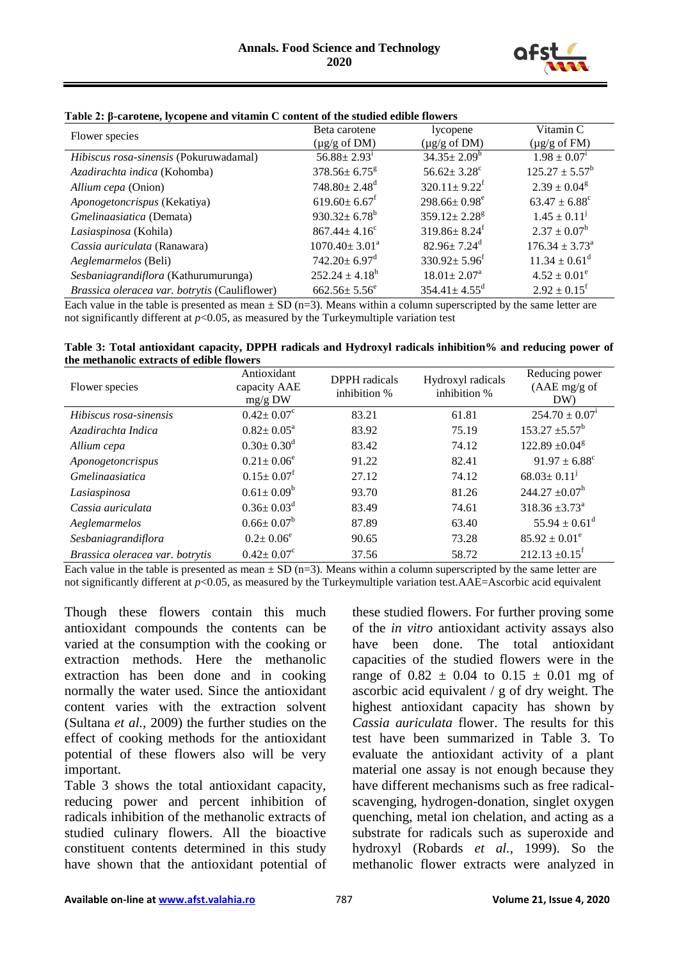

| Flower species                                | Beta carotene                  | lycopene                       | Vitamin C                     |
|-----------------------------------------------|--------------------------------|--------------------------------|-------------------------------|
|                                               | $(\mu g/g \text{ of } DM)$     | $(\mu$ g/g of DM)              | $(\mu g/g \text{ of FM})$     |
| Hibiscus rosa-sinensis (Pokuruwadamal)        | $56.88 \pm 2.93$ <sup>i</sup>  | $34.35 \pm 2.09^b$             | $1.98 \pm 0.07^i$             |
| Azadirachta indica (Kohomba)                  | $378.56 \pm 6.75$ <sup>g</sup> | $56.62 \pm 3.28$ <sup>c</sup>  | $125.27 \pm 5.57^b$           |
| Allium cepa (Onion)                           | $748.80 \pm 2.48$ <sup>d</sup> | $320.11 \pm 9.22^f$            | $2.39 \pm 0.04$ <sup>g</sup>  |
| Aponogetoncrispus (Kekatiya)                  | $619.60 \pm 6.67$ <sup>f</sup> | $298.66 \pm 0.98^e$            | $63.47 \pm 6.88$ <sup>c</sup> |
| Gmelinaasiatica (Demata)                      | $930.32 \pm 6.78^{\rm b}$      | $359.12 \pm 2.28$ <sup>g</sup> | $1.45 \pm 0.11^{j}$           |
| Lasiaspinosa (Kohila)                         | $867.44 \pm 4.16^c$            | $319.86 \pm 8.24$ <sup>f</sup> | $2.37 \pm 0.07^{\rm h}$       |
| Cassia auriculata (Ranawara)                  | $1070.40 \pm 3.01^{\text{a}}$  | $82.96 \pm 7.24$ <sup>d</sup>  | $176.34 \pm 3.73^{\circ}$     |
| Aeglemarmelos (Beli)                          | $742.20 \pm 6.97$ <sup>d</sup> | $330.92 \pm 5.96$ <sup>f</sup> | $11.34 \pm 0.61^d$            |
| Sesbaniagrandiflora (Kathurumurunga)          | $252.24 \pm 4.18^{\rm h}$      | $18.01 \pm 2.07^{\text{a}}$    | $4.52 \pm 0.01^e$             |
| Brassica oleracea var. botrytis (Cauliflower) | $662.56 \pm 5.56^e$            | $354.41 \pm 4.55$ <sup>d</sup> | $2.92 \pm 0.15^{\mathrm{f}}$  |

Each value in the table is presented as mean  $\pm$  SD (n=3). Means within a column superscripted by the same letter are not significantly different at  $p<0.05$ , as measured by the Turkeymultiple variation test

| Table 3: Total antioxidant capacity, DPPH radicals and Hydroxyl radicals inhibition% and reducing power of |  |
|------------------------------------------------------------------------------------------------------------|--|
| the methanolic extracts of edible flowers                                                                  |  |

| Flower species                  | Antioxidant<br>capacity AAE<br>$mg/g$ DW | <b>DPPH</b> radicals<br>inhibition % | Hydroxyl radicals<br>inhibition % | Reducing power<br>$(AAE \text{ mg/g of})$<br>DW |
|---------------------------------|------------------------------------------|--------------------------------------|-----------------------------------|-------------------------------------------------|
| Hibiscus rosa-sinensis          | $0.42 \pm 0.07^c$                        | 83.21                                | 61.81                             | $254.70 \pm 0.07^{\rm i}$                       |
| Azadirachta Indica              | $0.82 \pm 0.05^a$                        | 83.92                                | 75.19                             | $153.27 \pm 5.57^{\mathrm{b}}$                  |
| Allium cepa                     | $0.30 \pm 0.30$ <sup>d</sup>             | 83.42                                | 74.12                             | $122.89 \pm 0.04$ <sup>g</sup>                  |
| Aponogetoncrispus               | $0.21 \pm 0.06^e$                        | 91.22                                | 82.41                             | $91.97 \pm 6.88^{\circ}$                        |
| <i>Gmelinaasiatica</i>          | $0.15 \pm 0.07$ <sup>f</sup>             | 27.12                                | 74.12                             | $68.03 \pm 0.11$ <sup>j</sup>                   |
| Lasiaspinosa                    | $0.61 \pm 0.09^b$                        | 93.70                                | 81.26                             | $244.27 \pm 0.07^{\rm h}$                       |
| Cassia auriculata               | $0.36 \pm 0.03$ <sup>d</sup>             | 83.49                                | 74.61                             | $318.36 \pm 3.73^{\text{a}}$                    |
| Aeglemarmelos                   | $0.66 \pm 0.07^b$                        | 87.89                                | 63.40                             | $55.94 \pm 0.61^{\text{d}}$                     |
| Sesbaniagrandiflora             | $0.2 \pm 0.06^e$                         | 90.65                                | 73.28                             | $85.92 \pm 0.01^e$                              |
| Brassica oleracea var. botrytis | $0.42 \pm 0.07$ <sup>c</sup>             | 37.56                                | 58.72                             | $212.13 \pm 0.15^t$                             |

Each value in the table is presented as mean  $\pm$  SD (n=3). Means within a column superscripted by the same letter are not significantly different at  $p<0.05$ , as measured by the Turkeymultiple variation test.AAE=Ascorbic acid equivalent

Though these flowers contain this much antioxidant compounds the contents can be varied at the consumption with the cooking or extraction methods. Here the methanolic extraction has been done and in cooking normally the water used. Since the antioxidant content varies with the extraction solvent (Sultana *et al.,* 2009) the further studies on the effect of cooking methods for the antioxidant potential of these flowers also will be very important.

Table 3 shows the total antioxidant capacity, reducing power and percent inhibition of radicals inhibition of the methanolic extracts of studied culinary flowers. All the bioactive constituent contents determined in this study have shown that the antioxidant potential of

these studied flowers. For further proving some of the *in vitro* antioxidant activity assays also have been done. The total antioxidant capacities of the studied flowers were in the range of  $0.82 \pm 0.04$  to  $0.15 \pm 0.01$  mg of ascorbic acid equivalent / g of dry weight. The highest antioxidant capacity has shown by *Cassia auriculata* flower. The results for this test have been summarized in Table 3. To evaluate the antioxidant activity of a plant material one assay is not enough because they have different mechanisms such as free radicalscavenging, hydrogen-donation, singlet oxygen quenching, metal ion chelation, and acting as a substrate for radicals such as superoxide and hydroxyl (Robards *et al.,* 1999). So the methanolic flower extracts were analyzed in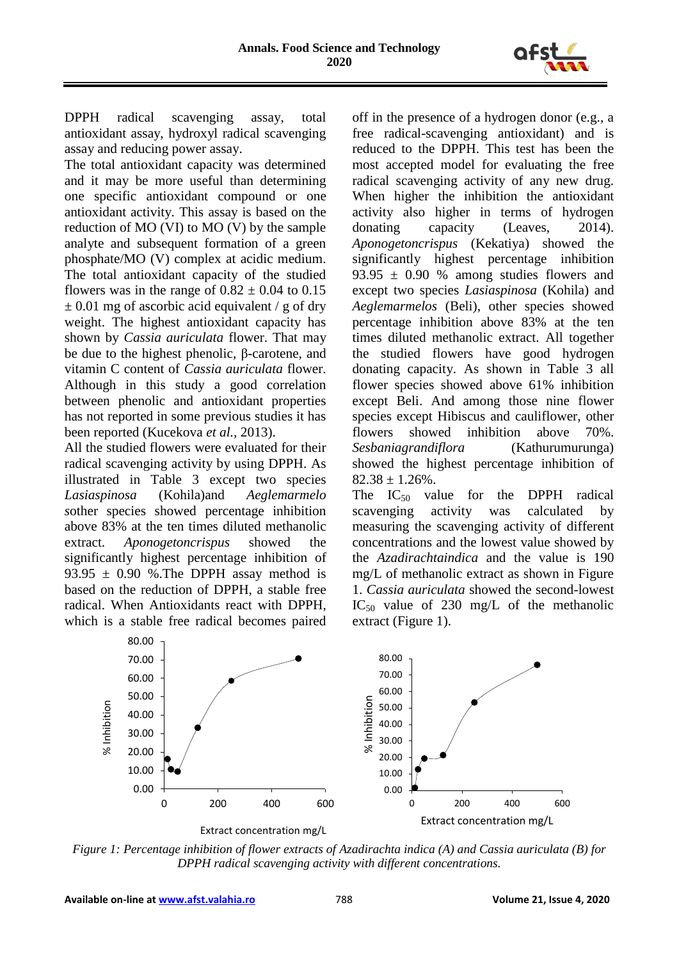

DPPH radical scavenging assay, total antioxidant assay, hydroxyl radical scavenging assay and reducing power assay.

The total antioxidant capacity was determined and it may be more useful than determining one specific antioxidant compound or one antioxidant activity. This assay is based on the reduction of MO (VI) to MO (V) by the sample analyte and subsequent formation of a green phosphate/MO (V) complex at acidic medium. The total antioxidant capacity of the studied flowers was in the range of  $0.82 \pm 0.04$  to  $0.15$  $\pm$  0.01 mg of ascorbic acid equivalent / g of dry weight. The highest antioxidant capacity has shown by *Cassia auriculata* flower. That may be due to the highest phenolic, β-carotene, and vitamin C content of *Cassia auriculata* flower. Although in this study a good correlation between phenolic and antioxidant properties has not reported in some previous studies it has been reported (Kucekova *et al.,* 2013).

All the studied flowers were evaluated for their radical scavenging activity by using DPPH. As illustrated in Table 3 except two species *Lasiaspinosa* (Kohila)and *Aeglemarmelo s*other species showed percentage inhibition above 83% at the ten times diluted methanolic extract. *Aponogetoncrispus* showed the significantly highest percentage inhibition of 93.95  $\pm$  0.90 %. The DPPH assay method is based on the reduction of DPPH, a stable free radical. When Antioxidants react with DPPH, which is a stable free radical becomes paired

off in the presence of a hydrogen donor (e.g., a free radical-scavenging antioxidant) and is reduced to the DPPH. This test has been the most accepted model for evaluating the free radical scavenging activity of any new drug. When higher the inhibition the antioxidant activity also higher in terms of hydrogen donating capacity (Leaves, 2014). *Aponogetoncrispus* (Kekatiya) showed the significantly highest percentage inhibition  $93.95 \pm 0.90$  % among studies flowers and except two species *Lasiaspinosa* (Kohila) and *Aeglemarmelos* (Beli), other species showed percentage inhibition above 83% at the ten times diluted methanolic extract. All together the studied flowers have good hydrogen donating capacity. As shown in Table 3 all flower species showed above 61% inhibition except Beli. And among those nine flower species except Hibiscus and cauliflower, other flowers showed inhibition above 70%. *Sesbaniagrandiflora* (Kathurumurunga) showed the highest percentage inhibition of  $82.38 \pm 1.26\%$ .

The  $IC_{50}$  value for the DPPH radical scavenging activity was calculated by measuring the scavenging activity of different concentrations and the lowest value showed by the *Azadirachtaindica* and the value is 190 mg/L of methanolic extract as shown in Figure 1. *Cassia auriculata* showed the second-lowest IC<sub>50</sub> value of 230 mg/L of the methanolic extract (Figure 1).



*Figure 1: Percentage inhibition of flower extracts of Azadirachta indica (A) and Cassia auriculata (B) for DPPH radical scavenging activity with different concentrations.*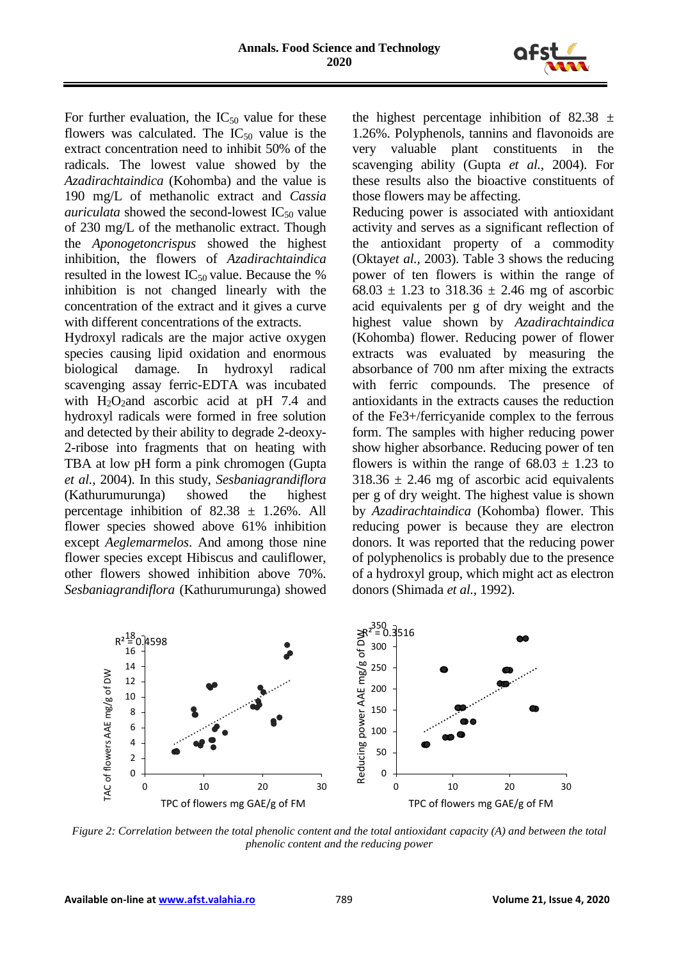

For further evaluation, the  $IC_{50}$  value for these flowers was calculated. The  $IC_{50}$  value is the extract concentration need to inhibit 50% of the radicals. The lowest value showed by the *Azadirachtaindica* (Kohomba) and the value is 190 mg/L of methanolic extract and *Cassia auriculata* showed the second-lowest  $IC_{50}$  value of 230 mg/L of the methanolic extract. Though the *Aponogetoncrispus* showed the highest inhibition, the flowers of *Azadirachtaindica* resulted in the lowest  $IC_{50}$  value. Because the % inhibition is not changed linearly with the concentration of the extract and it gives a curve with different concentrations of the extracts.

Hydroxyl radicals are the major active oxygen species causing lipid oxidation and enormous biological damage. In hydroxyl radical scavenging assay ferric-EDTA was incubated with  $H_2O_2$  and ascorbic acid at pH 7.4 and hydroxyl radicals were formed in free solution and detected by their ability to degrade 2-deoxy-2-ribose into fragments that on heating with TBA at low pH form a pink chromogen (Gupta *et al.,* 2004). In this study, *Sesbaniagrandiflora* (Kathurumurunga) showed the highest percentage inhibition of  $82.38 \pm 1.26\%$ . All flower species showed above 61% inhibition except *Aeglemarmelos*. And among those nine flower species except Hibiscus and cauliflower, other flowers showed inhibition above 70%. *Sesbaniagrandiflora* (Kathurumurunga) showed the highest percentage inhibition of 82.38  $\pm$ 1.26%. Polyphenols, tannins and flavonoids are very valuable plant constituents in the scavenging ability (Gupta *et al.,* 2004). For these results also the bioactive constituents of those flowers may be affecting.

Reducing power is associated with antioxidant activity and serves as a significant reflection of the antioxidant property of a commodity (Oktay*et al.,* 2003). Table 3 shows the reducing power of ten flowers is within the range of  $68.03 \pm 1.23$  to  $318.36 \pm 2.46$  mg of ascorbic acid equivalents per g of dry weight and the highest value shown by *Azadirachtaindica* (Kohomba) flower. Reducing power of flower extracts was evaluated by measuring the absorbance of 700 nm after mixing the extracts with ferric compounds. The presence of antioxidants in the extracts causes the reduction of the Fe3+/ferricyanide complex to the ferrous form. The samples with higher reducing power show higher absorbance. Reducing power of ten flowers is within the range of  $68.03 \pm 1.23$  to  $318.36 \pm 2.46$  mg of ascorbic acid equivalents per g of dry weight. The highest value is shown by *Azadirachtaindica* (Kohomba) flower. This reducing power is because they are electron donors. It was reported that the reducing power of polyphenolics is probably due to the presence of a hydroxyl group, which might act as electron donors (Shimada *et al.,* 1992).



*Figure 2: Correlation between the total phenolic content and the total antioxidant capacity (A) and between the total phenolic content and the reducing power*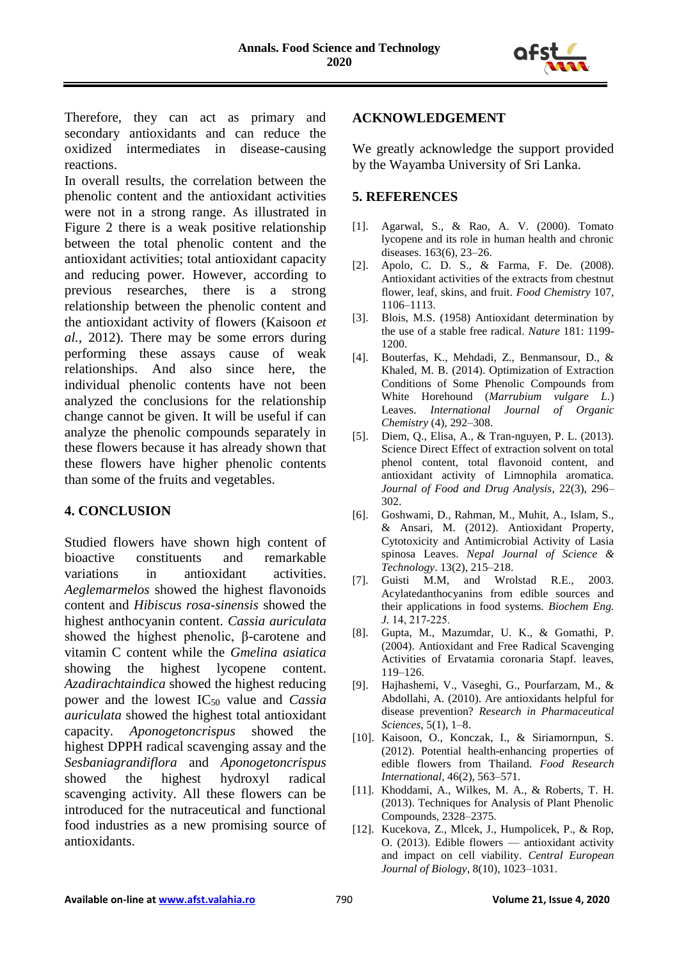

Therefore, they can act as primary and secondary antioxidants and can reduce the oxidized intermediates in disease-causing reactions.

In overall results, the correlation between the phenolic content and the antioxidant activities were not in a strong range. As illustrated in Figure 2 there is a weak positive relationship between the total phenolic content and the antioxidant activities; total antioxidant capacity and reducing power. However, according to previous researches, there is a strong relationship between the phenolic content and the antioxidant activity of flowers (Kaisoon *et al.,* 2012). There may be some errors during performing these assays cause of weak relationships. And also since here, the individual phenolic contents have not been analyzed the conclusions for the relationship change cannot be given. It will be useful if can analyze the phenolic compounds separately in these flowers because it has already shown that these flowers have higher phenolic contents than some of the fruits and vegetables.

## **4. CONCLUSION**

Studied flowers have shown high content of bioactive constituents and remarkable variations in antioxidant activities. *Aeglemarmelos* showed the highest flavonoids content and *Hibiscus rosa-sinensis* showed the highest anthocyanin content. *Cassia auriculata* showed the highest phenolic, β-carotene and vitamin C content while the *Gmelina asiatica* showing the highest lycopene content. *Azadirachtaindica* showed the highest reducing power and the lowest IC<sup>50</sup> value and *Cassia auriculata* showed the highest total antioxidant capacity. *Aponogetoncrispus* showed the highest DPPH radical scavenging assay and the *Sesbaniagrandiflora* and *Aponogetoncrispus* showed the highest hydroxyl radical scavenging activity. All these flowers can be introduced for the nutraceutical and functional food industries as a new promising source of antioxidants.

### **ACKNOWLEDGEMENT**

We greatly acknowledge the support provided by the Wayamba University of Sri Lanka.

### **5. REFERENCES**

- [1]. Agarwal, S., & Rao, A. V. (2000). Tomato lycopene and its role in human health and chronic diseases. 163(6), 23–26.
- [2]. Apolo, C. D. S., & Farma, F. De. (2008). Antioxidant activities of the extracts from chestnut flower, leaf, skins, and fruit. *Food Chemistry* 107, 1106–1113.
- [3]. Blois, M.S. (1958) Antioxidant determination by the use of a stable free radical. *Nature* 181: 1199- 1200.
- [4]. Bouterfas, K., Mehdadi, Z., Benmansour, D., & Khaled, M. B. (2014). Optimization of Extraction Conditions of Some Phenolic Compounds from White Horehound (*Marrubium vulgare L.*) Leaves. *International Journal of Organic Chemistry* (4), 292–308.
- [5]. Diem, Q., Elisa, A., & Tran-nguyen, P. L. (2013). Science Direct Effect of extraction solvent on total phenol content, total flavonoid content, and antioxidant activity of Limnophila aromatica. *Journal of Food and Drug Analysis*, 22(3), 296– 302.
- [6]. Goshwami, D., Rahman, M., Muhit, A., Islam, S., & Ansari, M. (2012). Antioxidant Property, Cytotoxicity and Antimicrobial Activity of Lasia spinosa Leaves. *Nepal Journal of Science & Technology*. 13(2), 215–218.
- [7]. Guisti M.M, and Wrolstad R.E., 2003. Acylatedanthocyanins from edible sources and their applications in food systems. *Biochem Eng. J.* 14, 217‐225.
- [8]. Gupta, M., Mazumdar, U. K., & Gomathi, P. (2004). Antioxidant and Free Radical Scavenging Activities of Ervatamia coronaria Stapf. leaves, 119–126.
- [9]. Hajhashemi, V., Vaseghi, G., Pourfarzam, M., & Abdollahi, A. (2010). Are antioxidants helpful for disease prevention? *Research in Pharmaceutical Sciences*, 5(1), 1–8.
- [10]. Kaisoon, O., Konczak, I., & Siriamornpun, S. (2012). Potential health-enhancing properties of edible flowers from Thailand. *Food Research International*, 46(2), 563–571.
- [11]. Khoddami, A., Wilkes, M. A., & Roberts, T. H. (2013). Techniques for Analysis of Plant Phenolic Compounds, 2328–2375.
- [12]. Kucekova, Z., Mlcek, J., Humpolicek, P., & Rop, O. (2013). Edible flowers — antioxidant activity and impact on cell viability. *Central European Journal of Biology*, 8(10), 1023–1031.